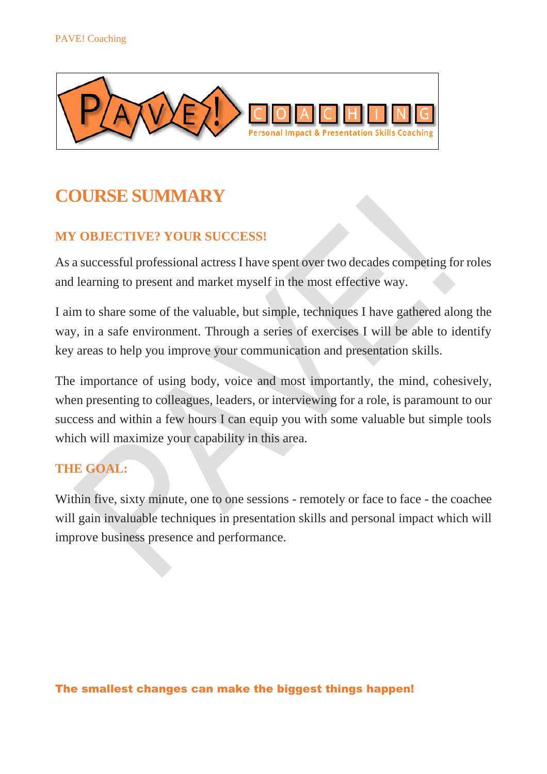

# **COURSE SUMMARY**

## **MY OBJECTIVE? YOUR SUCCESS!**

As a successful professional actress I have spent over two decades competing for roles and learning to present and market myself in the most effective way.

I aim to share some of the valuable, but simple, techniques I have gathered along the way, in a safe environment. Through a series of exercises I will be able to identify key areas to help you improve your communication and presentation skills.

The importance of using body, voice and most importantly, the mind, cohesively, when presenting to colleagues, leaders, or interviewing for a role, is paramount to our success and within a few hours I can equip you with some valuable but simple tools which will maximize your capability in this area.

## **THE GOAL:**

Within five, sixty minute, one to one sessions - remotely or face to face - the coachee will gain invaluable techniques in presentation skills and personal impact which will improve business presence and performance.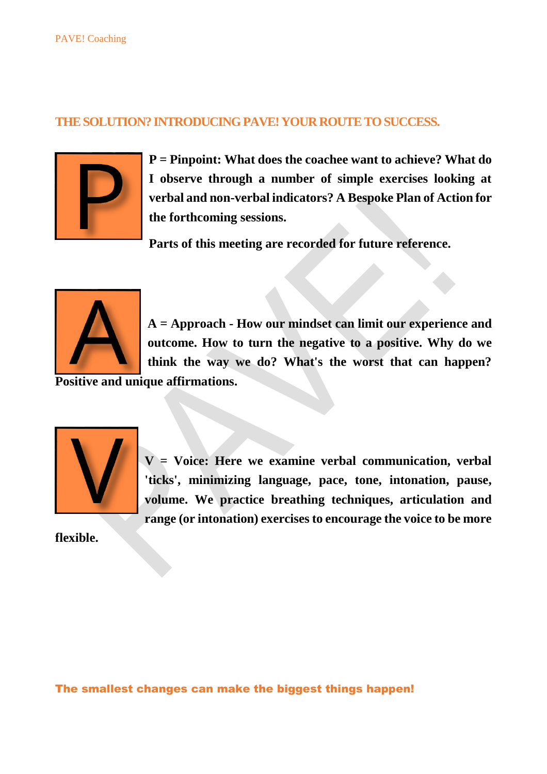#### **THE SOLUTION? INTRODUCING PAVE! YOUR ROUTE TO SUCCESS.**



**P = Pinpoint: What does the coachee want to achieve? What do I observe through a number of simple exercises looking at verbal and non-verbal indicators? A Bespoke Plan of Action for the forthcoming sessions.**

**Parts of this meeting are recorded for future reference.**



**A = Approach - How our mindset can limit our experience and outcome. How to turn the negative to a positive. Why do we think the way we do? What's the worst that can happen?** 

**Positive and unique affirmations.**



**V = Voice: Here we examine verbal communication, verbal 'ticks', minimizing language, pace, tone, intonation, pause, volume. We practice breathing techniques, articulation and range (or intonation) exercises to encourage the voice to be more** 

**flexible.**

The smallest changes can make the biggest things happen!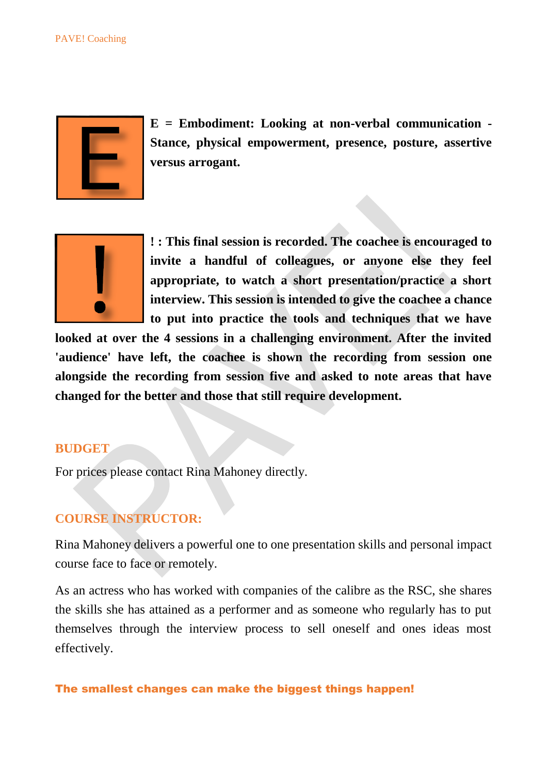

**E = Embodiment: Looking at non-verbal communication - Stance, physical empowerment, presence, posture, assertive versus arrogant.**



**! : This final session is recorded. The coachee is encouraged to invite a handful of colleagues, or anyone else they feel appropriate, to watch a short presentation/practice a short interview. This session is intended to give the coachee a chance to put into practice the tools and techniques that we have** 

**looked at over the 4 sessions in a challenging environment. After the invited 'audience' have left, the coachee is shown the recording from session one alongside the recording from session five and asked to note areas that have changed for the better and those that still require development.**

#### **BUDGET**

For prices please contact Rina Mahoney directly.

### **COURSE INSTRUCTOR:**

Rina Mahoney delivers a powerful one to one presentation skills and personal impact course face to face or remotely.

As an actress who has worked with companies of the calibre as the RSC, she shares the skills she has attained as a performer and as someone who regularly has to put themselves through the interview process to sell oneself and ones ideas most effectively.

#### The smallest changes can make the biggest things happen!